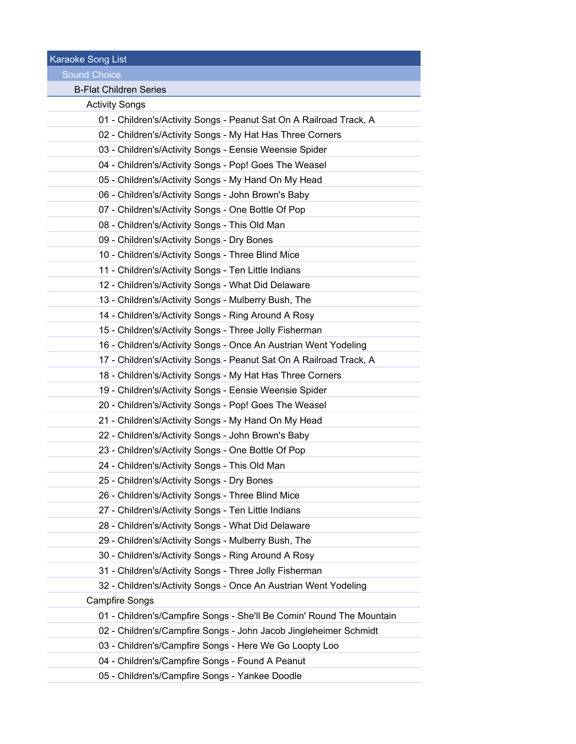Karaoke Song List

Sound Choice

e.

÷ ÷  $\sim$ ÷  $\sim$ ÷  $\sim$ ÷  $\sim$ 

in 19

## B-Flat Children Series

Activity Songs

| Authry Obliga                                                        |
|----------------------------------------------------------------------|
| 01 - Children's/Activity Songs - Peanut Sat On A Railroad Track, A   |
| 02 - Children's/Activity Songs - My Hat Has Three Corners            |
| 03 - Children's/Activity Songs - Eensie Weensie Spider               |
| 04 - Children's/Activity Songs - Pop! Goes The Weasel                |
| 05 - Children's/Activity Songs - My Hand On My Head                  |
| 06 - Children's/Activity Songs - John Brown's Baby                   |
| 07 - Children's/Activity Songs - One Bottle Of Pop                   |
| 08 - Children's/Activity Songs - This Old Man                        |
| 09 - Children's/Activity Songs - Dry Bones                           |
| 10 - Children's/Activity Songs - Three Blind Mice                    |
| 11 - Children's/Activity Songs - Ten Little Indians                  |
| 12 - Children's/Activity Songs - What Did Delaware                   |
| 13 - Children's/Activity Songs - Mulberry Bush, The                  |
| 14 - Children's/Activity Songs - Ring Around A Rosy                  |
| 15 - Children's/Activity Songs - Three Jolly Fisherman               |
| 16 - Children's/Activity Songs - Once An Austrian Went Yodeling      |
| 17 - Children's/Activity Songs - Peanut Sat On A Railroad Track, A   |
| 18 - Children's/Activity Songs - My Hat Has Three Corners            |
| 19 - Children's/Activity Songs - Eensie Weensie Spider               |
| 20 - Children's/Activity Songs - Pop! Goes The Weasel                |
| 21 - Children's/Activity Songs - My Hand On My Head                  |
| 22 - Children's/Activity Songs - John Brown's Baby                   |
| 23 - Children's/Activity Songs - One Bottle Of Pop                   |
| 24 - Children's/Activity Songs - This Old Man                        |
| 25 - Children's/Activity Songs - Dry Bones                           |
| 26 - Children's/Activity Songs - Three Blind Mice                    |
| 27 - Children's/Activity Songs - Ten Little Indians                  |
| 28 - Children's/Activity Songs - What Did Delaware                   |
| 29 - Children's/Activity Songs - Mulberry Bush, The                  |
| 30 - Children's/Activity Songs - Ring Around A Rosy                  |
| 31 - Children's/Activity Songs - Three Jolly Fisherman               |
| 32 - Children's/Activity Songs - Once An Austrian Went Yodeling      |
| <b>Campfire Songs</b>                                                |
| 01 - Children's/Campfire Songs - She'll Be Comin' Round The Mountain |
| 02 - Children's/Campfire Songs - John Jacob Jingleheimer Schmidt     |
| 03 - Children's/Campfire Songs - Here We Go Loopty Loo               |
| 04 - Children's/Campfire Songs - Found A Peanut                      |
| 05 - Children's/Campfire Songs - Yankee Doodle                       |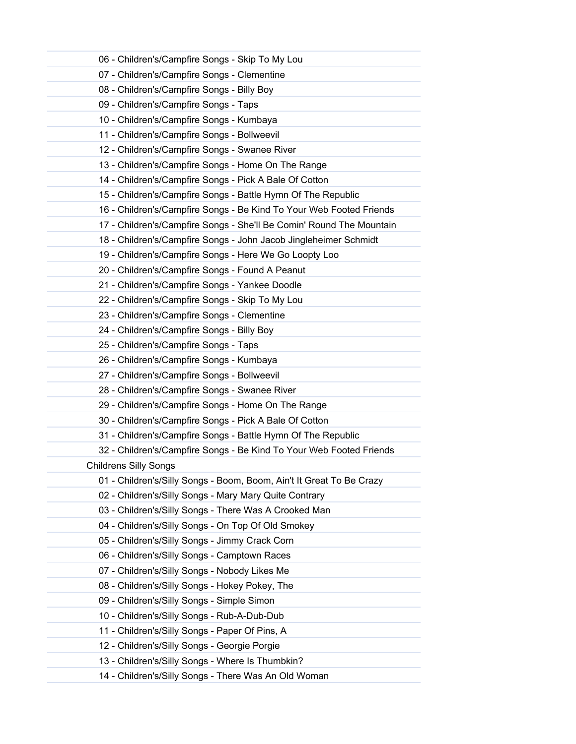| 06 - Children's/Campfire Songs - Skip To My Lou                      |
|----------------------------------------------------------------------|
| 07 - Children's/Campfire Songs - Clementine                          |
| 08 - Children's/Campfire Songs - Billy Boy                           |
| 09 - Children's/Campfire Songs - Taps                                |
| 10 - Children's/Campfire Songs - Kumbaya                             |
| 11 - Children's/Campfire Songs - Bollweevil                          |
| 12 - Children's/Campfire Songs - Swanee River                        |
| 13 - Children's/Campfire Songs - Home On The Range                   |
| 14 - Children's/Campfire Songs - Pick A Bale Of Cotton               |
| 15 - Children's/Campfire Songs - Battle Hymn Of The Republic         |
| 16 - Children's/Campfire Songs - Be Kind To Your Web Footed Friends  |
| 17 - Children's/Campfire Songs - She'll Be Comin' Round The Mountain |
| 18 - Children's/Campfire Songs - John Jacob Jingleheimer Schmidt     |
| 19 - Children's/Campfire Songs - Here We Go Loopty Loo               |
| 20 - Children's/Campfire Songs - Found A Peanut                      |
| 21 - Children's/Campfire Songs - Yankee Doodle                       |
| 22 - Children's/Campfire Songs - Skip To My Lou                      |
| 23 - Children's/Campfire Songs - Clementine                          |
| 24 - Children's/Campfire Songs - Billy Boy                           |
| 25 - Children's/Campfire Songs - Taps                                |
| 26 - Children's/Campfire Songs - Kumbaya                             |
| 27 - Children's/Campfire Songs - Bollweevil                          |
| 28 - Children's/Campfire Songs - Swanee River                        |
| 29 - Children's/Campfire Songs - Home On The Range                   |
| 30 - Children's/Campfire Songs - Pick A Bale Of Cotton               |
| 31 - Children's/Campfire Songs - Battle Hymn Of The Republic         |
| 32 - Children's/Campfire Songs - Be Kind To Your Web Footed Friends  |
| <b>Childrens Silly Songs</b>                                         |
| 01 - Children's/Silly Songs - Boom, Boom, Ain't It Great To Be Crazy |
| 02 - Children's/Silly Songs - Mary Mary Quite Contrary               |
| 03 - Children's/Silly Songs - There Was A Crooked Man                |
| 04 - Children's/Silly Songs - On Top Of Old Smokey                   |
| 05 - Children's/Silly Songs - Jimmy Crack Corn                       |
| 06 - Children's/Silly Songs - Camptown Races                         |
| 07 - Children's/Silly Songs - Nobody Likes Me                        |
| 08 - Children's/Silly Songs - Hokey Pokey, The                       |
| 09 - Children's/Silly Songs - Simple Simon                           |
| 10 - Children's/Silly Songs - Rub-A-Dub-Dub                          |
| 11 - Children's/Silly Songs - Paper Of Pins, A                       |
| 12 - Children's/Silly Songs - Georgie Porgie                         |
| 13 - Children's/Silly Songs - Where Is Thumbkin?                     |
| 14 - Children's/Silly Songs - There Was An Old Woman                 |
|                                                                      |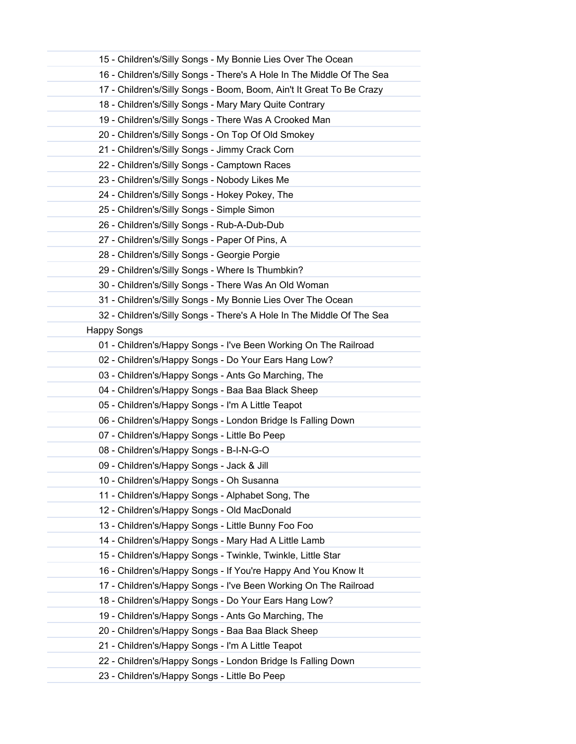|                    | 15 - Children's/Silly Songs - My Bonnie Lies Over The Ocean           |
|--------------------|-----------------------------------------------------------------------|
|                    | 16 - Children's/Silly Songs - There's A Hole In The Middle Of The Sea |
|                    | 17 - Children's/Silly Songs - Boom, Boom, Ain't It Great To Be Crazy  |
|                    | 18 - Children's/Silly Songs - Mary Mary Quite Contrary                |
|                    | 19 - Children's/Silly Songs - There Was A Crooked Man                 |
|                    | 20 - Children's/Silly Songs - On Top Of Old Smokey                    |
|                    | 21 - Children's/Silly Songs - Jimmy Crack Corn                        |
|                    | 22 - Children's/Silly Songs - Camptown Races                          |
|                    | 23 - Children's/Silly Songs - Nobody Likes Me                         |
|                    | 24 - Children's/Silly Songs - Hokey Pokey, The                        |
|                    | 25 - Children's/Silly Songs - Simple Simon                            |
|                    | 26 - Children's/Silly Songs - Rub-A-Dub-Dub                           |
|                    | 27 - Children's/Silly Songs - Paper Of Pins, A                        |
|                    | 28 - Children's/Silly Songs - Georgie Porgie                          |
|                    | 29 - Children's/Silly Songs - Where Is Thumbkin?                      |
|                    | 30 - Children's/Silly Songs - There Was An Old Woman                  |
|                    | 31 - Children's/Silly Songs - My Bonnie Lies Over The Ocean           |
|                    | 32 - Children's/Silly Songs - There's A Hole In The Middle Of The Sea |
| <b>Happy Songs</b> |                                                                       |
|                    | 01 - Children's/Happy Songs - I've Been Working On The Railroad       |
|                    | 02 - Children's/Happy Songs - Do Your Ears Hang Low?                  |
|                    | 03 - Children's/Happy Songs - Ants Go Marching, The                   |
|                    | 04 - Children's/Happy Songs - Baa Baa Black Sheep                     |
|                    | 05 - Children's/Happy Songs - I'm A Little Teapot                     |
|                    | 06 - Children's/Happy Songs - London Bridge Is Falling Down           |
|                    | 07 - Children's/Happy Songs - Little Bo Peep                          |
|                    | 08 - Children's/Happy Songs - B-I-N-G-O                               |
|                    | 09 - Children's/Happy Songs - Jack & Jill                             |
|                    | 10 - Children's/Happy Songs - Oh Susanna                              |
|                    | 11 - Children's/Happy Songs - Alphabet Song, The                      |
|                    | 12 - Children's/Happy Songs - Old MacDonald                           |
|                    | 13 - Children's/Happy Songs - Little Bunny Foo Foo                    |
|                    | 14 - Children's/Happy Songs - Mary Had A Little Lamb                  |
|                    | 15 - Children's/Happy Songs - Twinkle, Twinkle, Little Star           |
|                    | 16 - Children's/Happy Songs - If You're Happy And You Know It         |
|                    | 17 - Children's/Happy Songs - I've Been Working On The Railroad       |
|                    | 18 - Children's/Happy Songs - Do Your Ears Hang Low?                  |
|                    | 19 - Children's/Happy Songs - Ants Go Marching, The                   |
|                    | 20 - Children's/Happy Songs - Baa Baa Black Sheep                     |
|                    | 21 - Children's/Happy Songs - I'm A Little Teapot                     |
|                    | 22 - Children's/Happy Songs - London Bridge Is Falling Down           |
|                    | 23 - Children's/Happy Songs - Little Bo Peep                          |
|                    |                                                                       |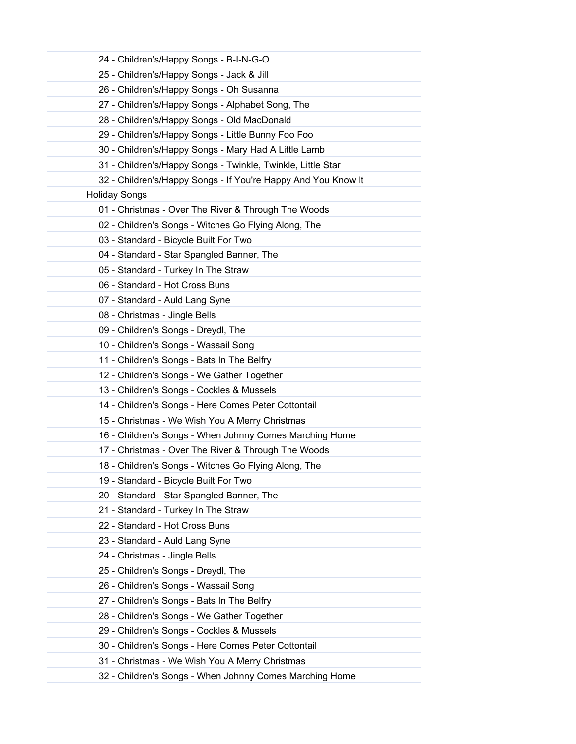| 24 - Children's/Happy Songs - B-I-N-G-O                       |  |
|---------------------------------------------------------------|--|
| 25 - Children's/Happy Songs - Jack & Jill                     |  |
| 26 - Children's/Happy Songs - Oh Susanna                      |  |
| 27 - Children's/Happy Songs - Alphabet Song, The              |  |
| 28 - Children's/Happy Songs - Old MacDonald                   |  |
| 29 - Children's/Happy Songs - Little Bunny Foo Foo            |  |
| 30 - Children's/Happy Songs - Mary Had A Little Lamb          |  |
| 31 - Children's/Happy Songs - Twinkle, Twinkle, Little Star   |  |
| 32 - Children's/Happy Songs - If You're Happy And You Know It |  |
| <b>Holiday Songs</b>                                          |  |
| 01 - Christmas - Over The River & Through The Woods           |  |
| 02 - Children's Songs - Witches Go Flying Along, The          |  |
| 03 - Standard - Bicycle Built For Two                         |  |
| 04 - Standard - Star Spangled Banner, The                     |  |
| 05 - Standard - Turkey In The Straw                           |  |
| 06 - Standard - Hot Cross Buns                                |  |
| 07 - Standard - Auld Lang Syne                                |  |
| 08 - Christmas - Jingle Bells                                 |  |
| 09 - Children's Songs - Dreydl, The                           |  |
| 10 - Children's Songs - Wassail Song                          |  |
| 11 - Children's Songs - Bats In The Belfry                    |  |
| 12 - Children's Songs - We Gather Together                    |  |
| 13 - Children's Songs - Cockles & Mussels                     |  |
| 14 - Children's Songs - Here Comes Peter Cottontail           |  |
| 15 - Christmas - We Wish You A Merry Christmas                |  |
| 16 - Children's Songs - When Johnny Comes Marching Home       |  |
| 17 - Christmas - Over The River & Through The Woods           |  |
| 18 - Children's Songs - Witches Go Flying Along, The          |  |
| 19 - Standard - Bicycle Built For Two                         |  |
| 20 - Standard - Star Spangled Banner, The                     |  |
| 21 - Standard - Turkey In The Straw                           |  |
| 22 - Standard - Hot Cross Buns                                |  |
| 23 - Standard - Auld Lang Syne                                |  |
| 24 - Christmas - Jingle Bells                                 |  |
| 25 - Children's Songs - Dreydl, The                           |  |
| 26 - Children's Songs - Wassail Song                          |  |
| 27 - Children's Songs - Bats In The Belfry                    |  |
| 28 - Children's Songs - We Gather Together                    |  |
| 29 - Children's Songs - Cockles & Mussels                     |  |
| 30 - Children's Songs - Here Comes Peter Cottontail           |  |
| 31 - Christmas - We Wish You A Merry Christmas                |  |
| 32 - Children's Songs - When Johnny Comes Marching Home       |  |
|                                                               |  |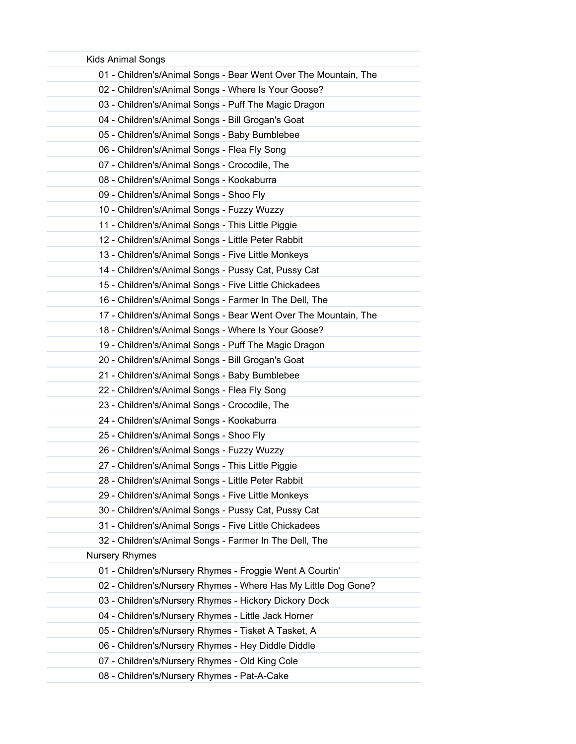| <b>Kids Animal Songs</b>                                        |
|-----------------------------------------------------------------|
| 01 - Children's/Animal Songs - Bear Went Over The Mountain, The |
| 02 - Children's/Animal Songs - Where Is Your Goose?             |
| 03 - Children's/Animal Songs - Puff The Magic Dragon            |
| 04 - Children's/Animal Songs - Bill Grogan's Goat               |
| 05 - Children's/Animal Songs - Baby Bumblebee                   |
| 06 - Children's/Animal Songs - Flea Fly Song                    |
| 07 - Children's/Animal Songs - Crocodile, The                   |
| 08 - Children's/Animal Songs - Kookaburra                       |
| 09 - Children's/Animal Songs - Shoo Fly                         |
| 10 - Children's/Animal Songs - Fuzzy Wuzzy                      |
| 11 - Children's/Animal Songs - This Little Piggie               |
| 12 - Children's/Animal Songs - Little Peter Rabbit              |
| 13 - Children's/Animal Songs - Five Little Monkeys              |
| 14 - Children's/Animal Songs - Pussy Cat, Pussy Cat             |
| 15 - Children's/Animal Songs - Five Little Chickadees           |
| 16 - Children's/Animal Songs - Farmer In The Dell, The          |
| 17 - Children's/Animal Songs - Bear Went Over The Mountain, The |
| 18 - Children's/Animal Songs - Where Is Your Goose?             |
| 19 - Children's/Animal Songs - Puff The Magic Dragon            |
| 20 - Children's/Animal Songs - Bill Grogan's Goat               |
| 21 - Children's/Animal Songs - Baby Bumblebee                   |
| 22 - Children's/Animal Songs - Flea Fly Song                    |
| 23 - Children's/Animal Songs - Crocodile, The                   |
| 24 - Children's/Animal Songs - Kookaburra                       |
| 25 - Children's/Animal Songs - Shoo Fly                         |
| 26 - Children's/Animal Songs - Fuzzy Wuzzy                      |
| 27 - Children's/Animal Songs - This Little Piggie               |
| 28 - Children's/Animal Songs - Little Peter Rabbit              |
| 29 - Children's/Animal Songs - Five Little Monkeys              |
| 30 - Children's/Animal Songs - Pussy Cat, Pussy Cat             |
| 31 - Children's/Animal Songs - Five Little Chickadees           |
| 32 - Children's/Animal Songs - Farmer In The Dell, The          |
| <b>Nursery Rhymes</b>                                           |
| 01 - Children's/Nursery Rhymes - Froggie Went A Courtin'        |
| 02 - Children's/Nursery Rhymes - Where Has My Little Dog Gone?  |
| 03 - Children's/Nursery Rhymes - Hickory Dickory Dock           |
| 04 - Children's/Nursery Rhymes - Little Jack Horner             |
| 05 - Children's/Nursery Rhymes - Tisket A Tasket, A             |
| 06 - Children's/Nursery Rhymes - Hey Diddle Diddle              |
| 07 - Children's/Nursery Rhymes - Old King Cole                  |
| 08 - Children's/Nursery Rhymes - Pat-A-Cake                     |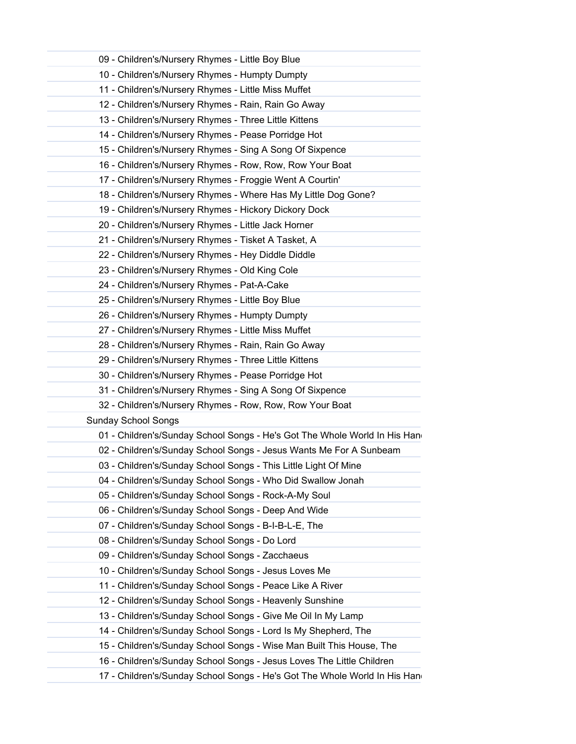| 09 - Children's/Nursery Rhymes - Little Boy Blue                          |
|---------------------------------------------------------------------------|
| 10 - Children's/Nursery Rhymes - Humpty Dumpty                            |
| 11 - Children's/Nursery Rhymes - Little Miss Muffet                       |
| 12 - Children's/Nursery Rhymes - Rain, Rain Go Away                       |
| 13 - Children's/Nursery Rhymes - Three Little Kittens                     |
| 14 - Children's/Nursery Rhymes - Pease Porridge Hot                       |
| 15 - Children's/Nursery Rhymes - Sing A Song Of Sixpence                  |
| 16 - Children's/Nursery Rhymes - Row, Row, Row Your Boat                  |
| 17 - Children's/Nursery Rhymes - Froggie Went A Courtin'                  |
| 18 - Children's/Nursery Rhymes - Where Has My Little Dog Gone?            |
| 19 - Children's/Nursery Rhymes - Hickory Dickory Dock                     |
| 20 - Children's/Nursery Rhymes - Little Jack Horner                       |
| 21 - Children's/Nursery Rhymes - Tisket A Tasket, A                       |
| 22 - Children's/Nursery Rhymes - Hey Diddle Diddle                        |
| 23 - Children's/Nursery Rhymes - Old King Cole                            |
| 24 - Children's/Nursery Rhymes - Pat-A-Cake                               |
| 25 - Children's/Nursery Rhymes - Little Boy Blue                          |
| 26 - Children's/Nursery Rhymes - Humpty Dumpty                            |
| 27 - Children's/Nursery Rhymes - Little Miss Muffet                       |
| 28 - Children's/Nursery Rhymes - Rain, Rain Go Away                       |
| 29 - Children's/Nursery Rhymes - Three Little Kittens                     |
| 30 - Children's/Nursery Rhymes - Pease Porridge Hot                       |
| 31 - Children's/Nursery Rhymes - Sing A Song Of Sixpence                  |
| 32 - Children's/Nursery Rhymes - Row, Row, Row Your Boat                  |
| <b>Sunday School Songs</b>                                                |
| 01 - Children's/Sunday School Songs - He's Got The Whole World In His Han |
| 02 - Children's/Sunday School Songs - Jesus Wants Me For A Sunbeam        |
| 03 - Children's/Sunday School Songs - This Little Light Of Mine           |
| 04 - Children's/Sunday School Songs - Who Did Swallow Jonah               |
| 05 - Children's/Sunday School Songs - Rock-A-My Soul                      |
| 06 - Children's/Sunday School Songs - Deep And Wide                       |
| 07 - Children's/Sunday School Songs - B-I-B-L-E, The                      |
| 08 - Children's/Sunday School Songs - Do Lord                             |
| 09 - Children's/Sunday School Songs - Zacchaeus                           |
| 10 - Children's/Sunday School Songs - Jesus Loves Me                      |
| 11 - Children's/Sunday School Songs - Peace Like A River                  |
| 12 - Children's/Sunday School Songs - Heavenly Sunshine                   |
| 13 - Children's/Sunday School Songs - Give Me Oil In My Lamp              |
| 14 - Children's/Sunday School Songs - Lord Is My Shepherd, The            |
| 15 - Children's/Sunday School Songs - Wise Man Built This House, The      |
| 16 - Children's/Sunday School Songs - Jesus Loves The Little Children     |
| 17 - Children's/Sunday School Songs - He's Got The Whole World In His Han |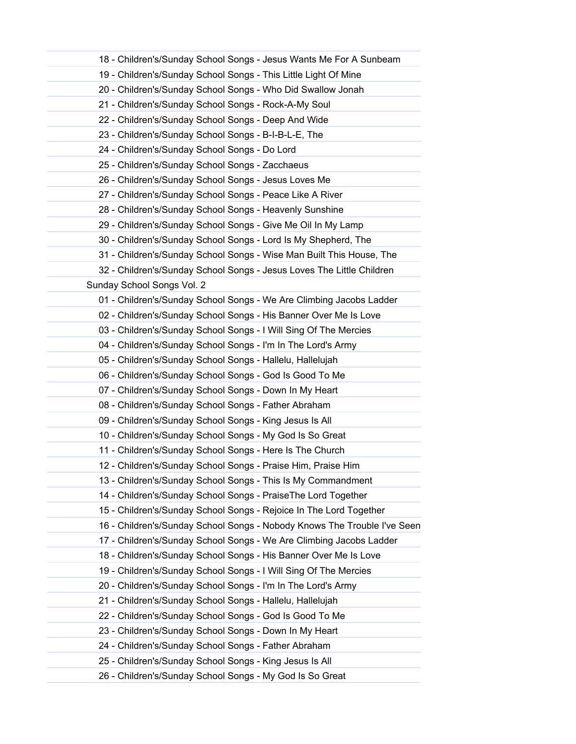| 18 - Children's/Sunday School Songs - Jesus Wants Me For A Sunbeam       |
|--------------------------------------------------------------------------|
| 19 - Children's/Sunday School Songs - This Little Light Of Mine          |
| 20 - Children's/Sunday School Songs - Who Did Swallow Jonah              |
| 21 - Children's/Sunday School Songs - Rock-A-My Soul                     |
| 22 - Children's/Sunday School Songs - Deep And Wide                      |
| 23 - Children's/Sunday School Songs - B-I-B-L-E, The                     |
| 24 - Children's/Sunday School Songs - Do Lord                            |
| 25 - Children's/Sunday School Songs - Zacchaeus                          |
| 26 - Children's/Sunday School Songs - Jesus Loves Me                     |
| 27 - Children's/Sunday School Songs - Peace Like A River                 |
| 28 - Children's/Sunday School Songs - Heavenly Sunshine                  |
| 29 - Children's/Sunday School Songs - Give Me Oil In My Lamp             |
| 30 - Children's/Sunday School Songs - Lord Is My Shepherd, The           |
| 31 - Children's/Sunday School Songs - Wise Man Built This House, The     |
| 32 - Children's/Sunday School Songs - Jesus Loves The Little Children    |
| Sunday School Songs Vol. 2                                               |
| 01 - Children's/Sunday School Songs - We Are Climbing Jacobs Ladder      |
| 02 - Children's/Sunday School Songs - His Banner Over Me Is Love         |
| 03 - Children's/Sunday School Songs - I Will Sing Of The Mercies         |
| 04 - Children's/Sunday School Songs - I'm In The Lord's Army             |
| 05 - Children's/Sunday School Songs - Hallelu, Hallelujah                |
| 06 - Children's/Sunday School Songs - God Is Good To Me                  |
| 07 - Children's/Sunday School Songs - Down In My Heart                   |
| 08 - Children's/Sunday School Songs - Father Abraham                     |
| 09 - Children's/Sunday School Songs - King Jesus Is All                  |
| 10 - Children's/Sunday School Songs - My God Is So Great                 |
| 11 - Children's/Sunday School Songs - Here Is The Church                 |
| 12 - Children's/Sunday School Songs - Praise Him, Praise Him             |
| 13 - Children's/Sunday School Songs - This Is My Commandment             |
| 14 - Children's/Sunday School Songs - PraiseThe Lord Together            |
| 15 - Children's/Sunday School Songs - Rejoice In The Lord Together       |
| 16 - Children's/Sunday School Songs - Nobody Knows The Trouble I've Seen |
| 17 - Children's/Sunday School Songs - We Are Climbing Jacobs Ladder      |
| 18 - Children's/Sunday School Songs - His Banner Over Me Is Love         |
| 19 - Children's/Sunday School Songs - I Will Sing Of The Mercies         |
| 20 - Children's/Sunday School Songs - I'm In The Lord's Army             |
| 21 - Children's/Sunday School Songs - Hallelu, Hallelujah                |
| 22 - Children's/Sunday School Songs - God Is Good To Me                  |
| 23 - Children's/Sunday School Songs - Down In My Heart                   |
| 24 - Children's/Sunday School Songs - Father Abraham                     |
| 25 - Children's/Sunday School Songs - King Jesus Is All                  |
| 26 - Children's/Sunday School Songs - My God Is So Great                 |